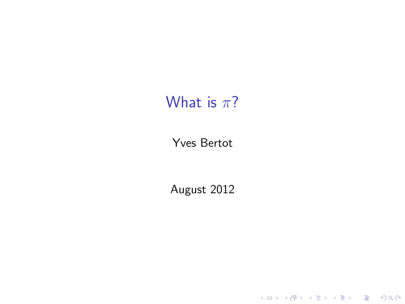### What is  $\pi$ ?

#### Yves Bertot

August 2012

K ロ X (日) X (日) X (日) X (日) X (日) X (日) X (日) X (日) X (日) X (日)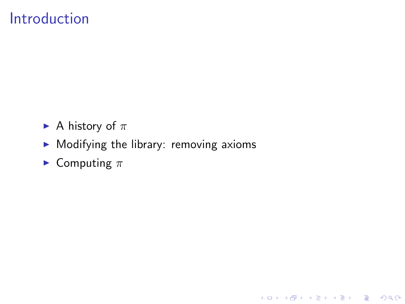## Introduction

- A history of  $\pi$
- $\blacktriangleright$  Modifying the library: removing axioms

イロト イ御 トイミト イミト ニミー りんぴ

 $\blacktriangleright$  Computing  $\pi$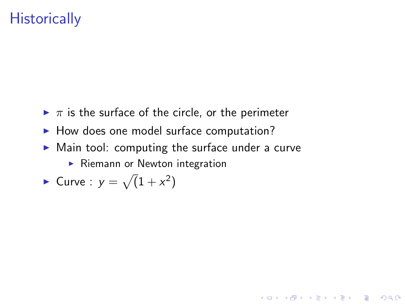## **Historically**

- $\blacktriangleright \pi$  is the surface of the circle, or the perimeter
- $\blacktriangleright$  How does one model surface computation?
- $\triangleright$  Main tool: computing the surface under a curve

K ロ ▶ K @ ▶ K 할 > K 할 > 1 할 > 1 이익어

 $\blacktriangleright$  Riemann or Newton integration

• Curve : 
$$
y = \sqrt{1 + x^2}
$$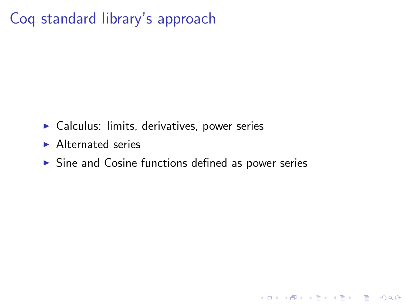# Coq standard library's approach

- $\triangleright$  Calculus: limits, derivatives, power series
- $\blacktriangleright$  Alternated series
- $\triangleright$  Sine and Cosine functions defined as power series

K ロ ▶ K @ ▶ K 할 > K 할 > 1 할 > 1 이익어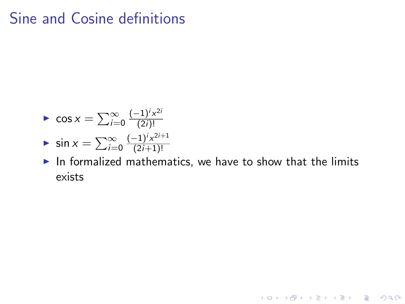## Sine and Cosine definitions

$$
\log x = \sum_{i=0}^{\infty} \frac{(-1)^i x^{2i}}{(2i)!}
$$

$$
\bullet \ \sin x = \sum_{i=0}^{\infty} \frac{(-1)^i x^{2i+1}}{(2i+1)!}
$$

 $\blacktriangleright$  In formalized mathematics, we have to show that the limits exists

K ロ ▶ K @ ▶ K 할 ▶ K 할 ▶ | 할 | © 9 Q @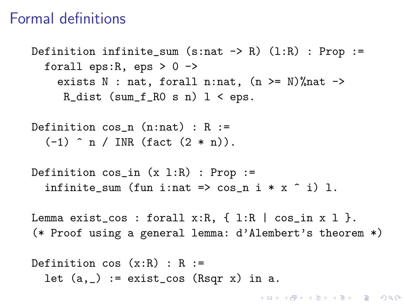#### Formal definitions

Definition infinite\_sum  $(s:nat \rightarrow R)$   $(1:R)$  : Prop := forall eps:  $R$ , eps  $> 0$  - $>$ exists N : nat, forall n:nat,  $(n \geq N)$ % nat  $\rightarrow$ R\_dist  $(sum_f_R0 s n) 1 < eps.$ 

Definition  $cos_n (n:nat)$  : R :=  $(-1)$  n / INR (fact  $(2 * n)$ ).

```
Definition cos_in (x 1:R) : Prop :=
  infinite_sum (fun i:nat => \cos_n i * x \hat{i}) 1.
```
Lemma exist\_cos : forall  $x:R$ ,  $\{ 1:R | \cos \pi x 1 \}$ . (\* Proof using a general lemma: d'Alembert's theorem \*)

Definition  $cos(x:R)$ : R := let  $(a, ) :=$  exist\_cos  $(Rsqr x)$  in a.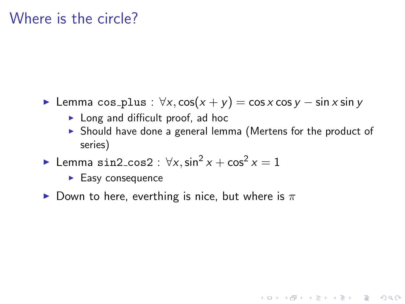#### Where is the circle?

- $\triangleright$  Lemma cos\_plus :  $\forall x, \cos(x + y) = \cos x \cos y \sin x \sin y$ 
	- $\blacktriangleright$  Long and difficult proof, ad hoc
	- $\triangleright$  Should have done a general lemma (Mertens for the product of series)

**KORK ERKER ADE YOUR** 

- ► Lemma  $\sin 2 \cos 2 : \forall x, \sin^2 x + \cos^2 x = 1$ 
	- $\blacktriangleright$  Easy consequence
- Down to here, everthing is nice, but where is  $\pi$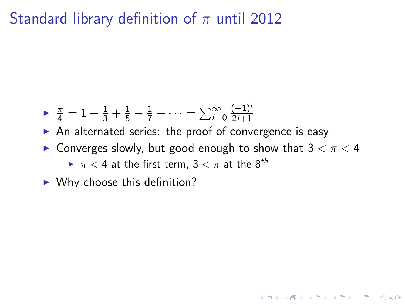Standard library definition of  $\pi$  until 2012

- $\blacktriangleright$   $\frac{\pi}{4} = 1 \frac{1}{3} + \frac{1}{5} \frac{1}{7} + \cdots = \sum_{i=0}^{\infty}$  $(-1)^{i}$ 2i+1
- $\triangleright$  An alternated series: the proof of convergence is easy
- **Converges slowly, but good enough to show that 3**  $\lt \pi \lt 4$

**KORK ERKER ADE YOUR** 

- $\blacktriangleright \pi < 4$  at the first term,  $3 < \pi$  at the  $8^{th}$
- $\blacktriangleright$  Why choose this definition?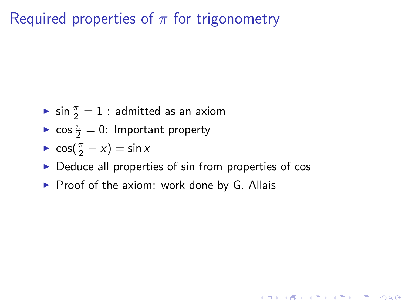Required properties of  $\pi$  for trigonometry

- $\blacktriangleright$  sin  $\frac{\pi}{2} = 1$  : admitted as an axiom
- $\triangleright$  cos  $\frac{\pi}{2} = 0$ : Important property
- $\cos(\frac{\pi}{2} x) = \sin x$
- $\triangleright$  Deduce all properties of sin from properties of cos

**K ロ ▶ K @ ▶ K 할 X X 할 X 및 할 X X Q Q O** 

 $\triangleright$  Proof of the axiom: work done by G. Allais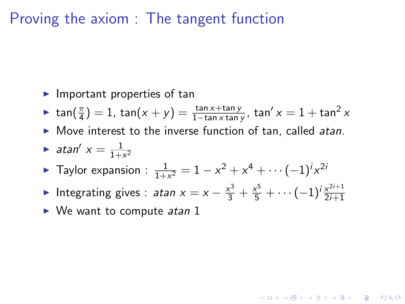#### Proving the axiom : The tangent function

- $\blacktriangleright$  Important properties of tan
- ► tan $(\frac{\pi}{4}) = 1$ , tan $(x + y) = \frac{\tan x + \tan y}{1 \tan x \tan y}$ , tan'  $x = 1 + \tan^2 x$
- $\triangleright$  Move interest to the inverse function of tan, called atan.
- atan'  $x = \frac{1}{1+x}$  $1 + x^2$
- ► Taylor expansion :  $\frac{1}{1+x^2} = 1 x^2 + x^4 + \cdots + (-1)^i x^{2i}$
- ► Integrating gives : *atan*  $x = x \frac{x^3}{3} + \frac{x^5}{5} + \cdots + (-1)^i \frac{x^{2i+1}}{2i+1}$ 2i+1

**A O A G A 4 O A C A G A G A 4 O A C A** 

 $\triangleright$  We want to compute *atan* 1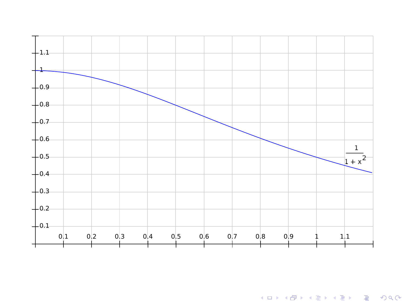

KOX KOX KEX KEX E 1990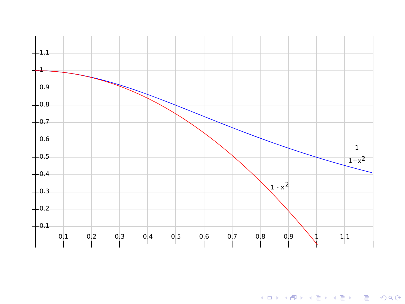

KOX KOX KEX KEX E 1990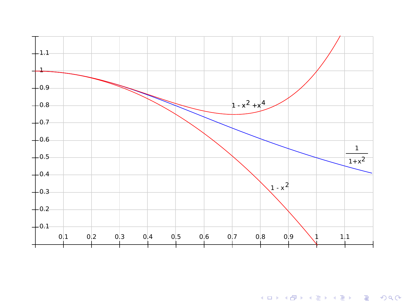

**K ロ K イロ K イミ K K モ K ミニ や R (^**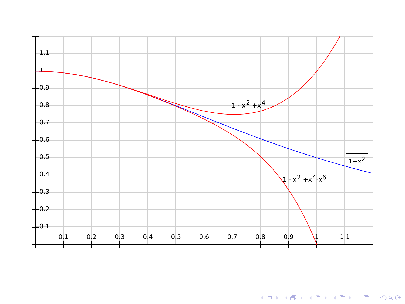

**K ロ X イロ X X を X X を X と ミ X の Q Q へ**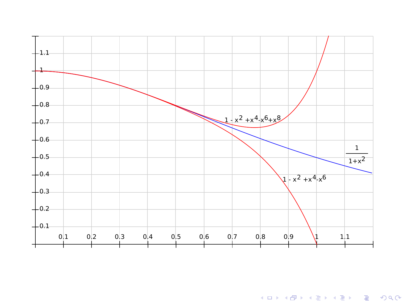

K ロ ▶ K @ ▶ K 할 ▶ K 할 ▶ ... 할 ... 9 Q Q ·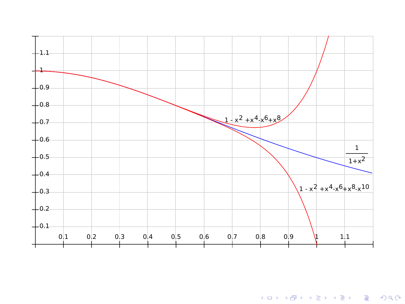

K ロ ▶ K @ ▶ K 할 ▶ K 할 ▶ | 할 | ⊙Q @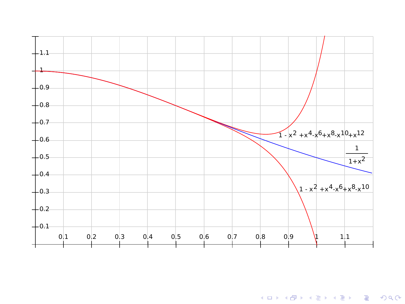

K ロ ▶ K @ ▶ K 할 ▶ K 할 ▶ | 할 | ⊙Q @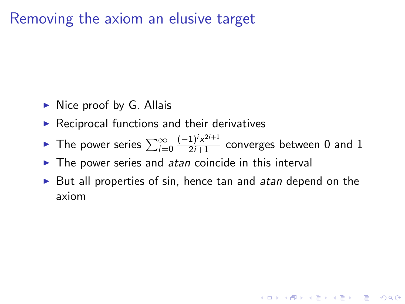### Removing the axiom an elusive target

- $\triangleright$  Nice proof by G. Allais
- $\blacktriangleright$  Reciprocal functions and their derivatives
- The power series  $\sum_{i=0}^{\infty}$  $\frac{(-1)^i x^{2i+1}}{2i+1}$  converges between 0 and 1
- $\blacktriangleright$  The power series and atan coincide in this interval
- $\triangleright$  But all properties of sin, hence tan and *atan* depend on the axiom

**K ロ ▶ K @ ▶ K 할 X X 할 X 및 할 X X Q Q O**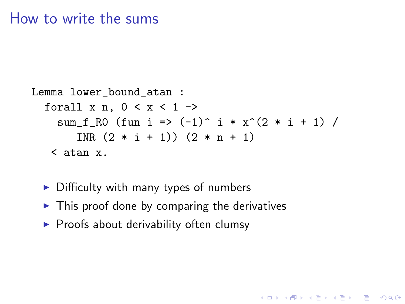#### How to write the sums

```
Lemma lower_bound_atan :
  forall x n, 0 < x < 1 ->
    sum_f_R0 (fun i => (-1)^{2} i * x^{2}(2 * i + 1) /
       INR (2 * i + 1) (2 * n + 1)< atan x.
```
**KORK ERKER ADE YOUR** 

- $\triangleright$  Difficulty with many types of numbers
- $\triangleright$  This proof done by comparing the derivatives
- $\blacktriangleright$  Proofs about derivability often clumsy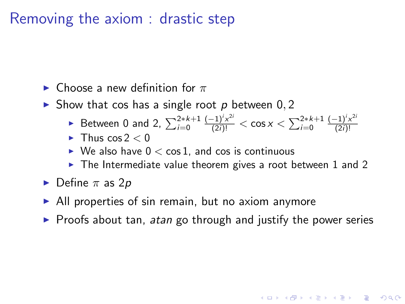#### Removing the axiom : drastic step

 $\blacktriangleright$  Choose a new definition for  $\pi$ 

 $\triangleright$  Show that cos has a single root p between 0, 2

- ► Between 0 and 2,  $\sum_{i=0}^{2*k+1} \frac{(-1)^i x^{2i}}{(2i)!} < \cos x < \sum_{i=0}^{2*k+1} \frac{(-1)^i x^{2i}}{(2i)!}$ (2i)!
- $\blacktriangleright$  Thus cos  $2 < 0$
- $\triangleright$  We also have  $0 < \cos 1$ , and cos is continuous
- $\triangleright$  The Intermediate value theorem gives a root between 1 and 2
- $\blacktriangleright$  Define  $\pi$  as 2*p*
- $\triangleright$  All properties of sin remain, but no axiom anymore
- $\triangleright$  Proofs about tan, atan go through and justify the power series

**KORK ERKER ADE YOUR**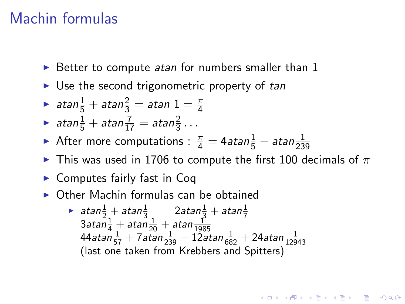### Machin formulas

- $\triangleright$  Better to compute atan for numbers smaller than 1
- $\triangleright$  Use the second trigonometric property of tan
- $\blacktriangleright$  atan $\frac{1}{5} +$ atan $\frac{2}{3} =$ atan  $1 = \frac{\pi}{4}$
- atan $\frac{1}{5}$  + atan $\frac{7}{17}$  = atan $\frac{2}{3}$ ...
- After more computations :  $\frac{\pi}{4} = 4$ atan $\frac{1}{5} \pi$ atan $\frac{1}{239}$
- $\blacktriangleright$  This was used in 1706 to compute the first 100 decimals of  $\pi$

**KORKAR KERKER E VOOR** 

- $\blacktriangleright$  Computes fairly fast in Coq
- $\triangleright$  Other Machin formulas can be obtained
	- $\blacktriangleright$  atan $\frac{1}{2}+$  atan $\frac{1}{3}$   $\qquad$   $2$ atan $\frac{1}{3}+$  atan $\frac{1}{7}$  $3$ atan $\frac{1}{4} +$  atan $\frac{1}{20} +$  atan $\frac{1}{198}$  $44$ atan  $\frac{1}{57}$  + 7atan  $\frac{1}{239}$  - 12atan  $\frac{1}{682}$  + 24atan  $\frac{1}{12943}$ (last one taken from Krebbers and Spitters)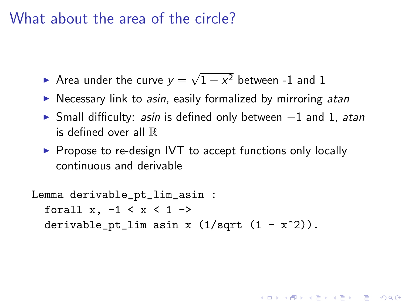#### What about the area of the circle?

- Area under the curve  $y =$ √  $1-x^2$  between -1 and 1
- $\triangleright$  Necessary link to *asin*, easily formalized by mirroring *atan*
- ► Small difficulty: asin is defined only between -1 and 1, atan is defined over all R

4 D > 4 P + 4 B + 4 B + B + 9 Q O

 $\triangleright$  Propose to re-design IVT to accept functions only locally continuous and derivable

```
Lemma derivable_pt_lim_asin :
  forall x, -1 < x < 1 ->
  derivable_pt_lim asin x (1/sqrt (1 - x^2)).
```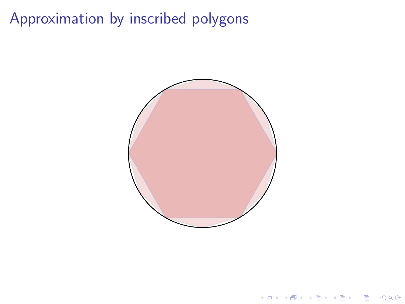# Approximation by inscribed polygons



K ロ ▶ K @ ▶ K 할 ▶ K 할 ▶ ... 할 ... 900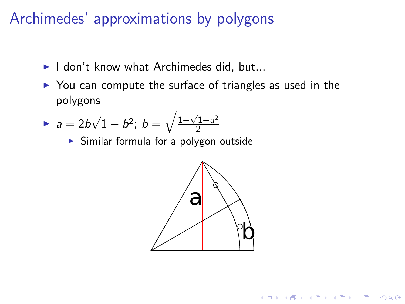## Archimedes' approximations by polygons

- $\blacktriangleright$  I don't know what Archimedes did, but...
- $\triangleright$  You can compute the surface of triangles as used in the polygons

▶ 
$$
a = 2b\sqrt{1-b^2}
$$
;  $b = \sqrt{\frac{1-\sqrt{1-a^2}}{2}}$ 

 $\triangleright$  Similar formula for a polygon outside



**KORK ERKER ADE YOUR**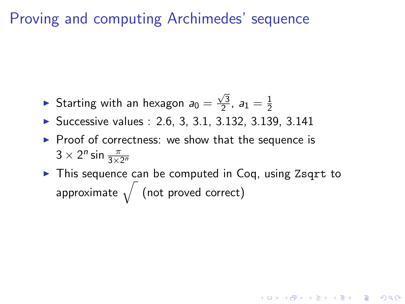# Proving and computing Archimedes' sequence

- Starting with an hexagon  $a_0 =$  $\sqrt{3}$  $\frac{\sqrt{3}}{2}$ ,  $a_1 = \frac{1}{2}$ 2
- $\triangleright$  Successive values : 2.6, 3, 3.1, 3.132, 3.139, 3.141
- $\triangleright$  Proof of correctness: we show that the sequence is  $3 \times 2^n \sin \frac{\pi}{3 \times 2^n}$
- $\triangleright$  This sequence can be computed in Coq, using Zsqrt to approximate  $\sqrt{\ }$  (not proved correct)

4 D > 4 P + 4 B + 4 B + B + 9 Q O